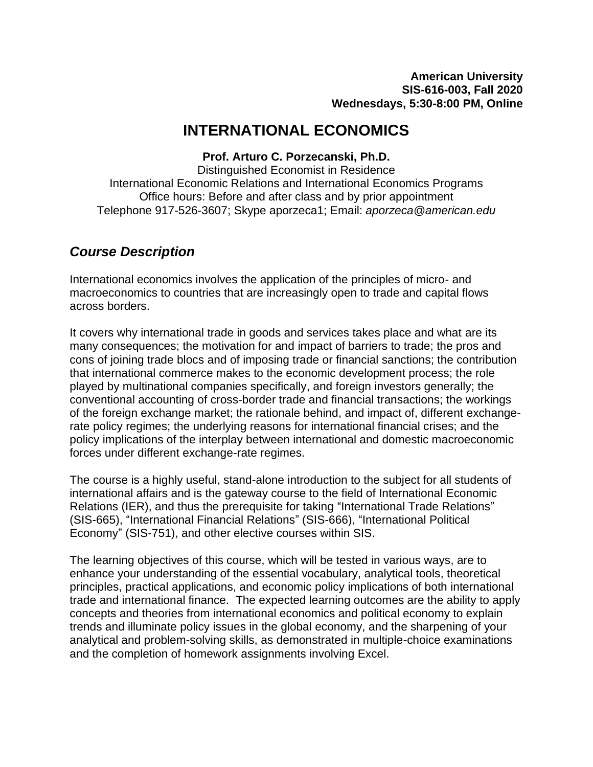# **INTERNATIONAL ECONOMICS**

**Prof. Arturo C. Porzecanski, Ph.D.**

Distinguished Economist in Residence International Economic Relations and International Economics Programs Office hours: Before and after class and by prior appointment Telephone 917-526-3607; Skype aporzeca1; Email: *[aporzeca@american.edu](mailto:aporzeca@american.edu)*

## *Course Description*

International economics involves the application of the principles of micro- and macroeconomics to countries that are increasingly open to trade and capital flows across borders.

It covers why international trade in goods and services takes place and what are its many consequences; the motivation for and impact of barriers to trade; the pros and cons of joining trade blocs and of imposing trade or financial sanctions; the contribution that international commerce makes to the economic development process; the role played by multinational companies specifically, and foreign investors generally; the conventional accounting of cross-border trade and financial transactions; the workings of the foreign exchange market; the rationale behind, and impact of, different exchangerate policy regimes; the underlying reasons for international financial crises; and the policy implications of the interplay between international and domestic macroeconomic forces under different exchange-rate regimes.

The course is a highly useful, stand-alone introduction to the subject for all students of international affairs and is the gateway course to the field of International Economic Relations (IER), and thus the prerequisite for taking "International Trade Relations" (SIS-665), "International Financial Relations" (SIS-666), "International Political Economy" (SIS-751), and other elective courses within SIS.

The learning objectives of this course, which will be tested in various ways, are to enhance your understanding of the essential vocabulary, analytical tools, theoretical principles, practical applications, and economic policy implications of both international trade and international finance. The expected learning outcomes are the ability to apply concepts and theories from international economics and political economy to explain trends and illuminate policy issues in the global economy, and the sharpening of your analytical and problem-solving skills, as demonstrated in multiple-choice examinations and the completion of homework assignments involving Excel.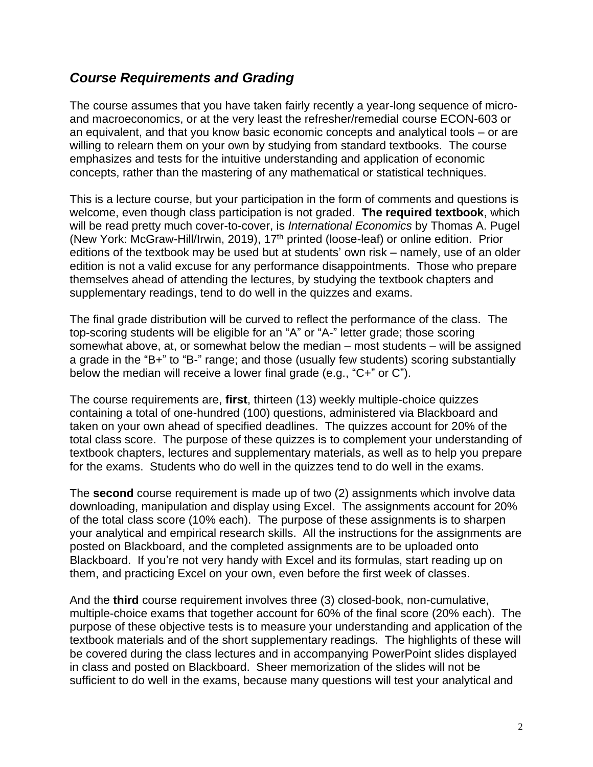## *Course Requirements and Grading*

The course assumes that you have taken fairly recently a year-long sequence of microand macroeconomics, or at the very least the refresher/remedial course ECON-603 or an equivalent, and that you know basic economic concepts and analytical tools – or are willing to relearn them on your own by studying from standard textbooks. The course emphasizes and tests for the intuitive understanding and application of economic concepts, rather than the mastering of any mathematical or statistical techniques.

This is a lecture course, but your participation in the form of comments and questions is welcome, even though class participation is not graded. **The required textbook**, which will be read pretty much cover-to-cover, is *International Economics* by Thomas A. Pugel (New York: McGraw-Hill/Irwin, 2019), 17<sup>th</sup> printed (loose-leaf) or online edition. Prior editions of the textbook may be used but at students' own risk – namely, use of an older edition is not a valid excuse for any performance disappointments. Those who prepare themselves ahead of attending the lectures, by studying the textbook chapters and supplementary readings, tend to do well in the quizzes and exams.

The final grade distribution will be curved to reflect the performance of the class. The top-scoring students will be eligible for an "A" or "A-" letter grade; those scoring somewhat above, at, or somewhat below the median – most students – will be assigned a grade in the "B+" to "B-" range; and those (usually few students) scoring substantially below the median will receive a lower final grade (e.g., "C+" or C").

The course requirements are, **first**, thirteen (13) weekly multiple-choice quizzes containing a total of one-hundred (100) questions, administered via Blackboard and taken on your own ahead of specified deadlines. The quizzes account for 20% of the total class score. The purpose of these quizzes is to complement your understanding of textbook chapters, lectures and supplementary materials, as well as to help you prepare for the exams. Students who do well in the quizzes tend to do well in the exams.

The **second** course requirement is made up of two (2) assignments which involve data downloading, manipulation and display using Excel. The assignments account for 20% of the total class score (10% each). The purpose of these assignments is to sharpen your analytical and empirical research skills. All the instructions for the assignments are posted on Blackboard, and the completed assignments are to be uploaded onto Blackboard. If you're not very handy with Excel and its formulas, start reading up on them, and practicing Excel on your own, even before the first week of classes.

And the **third** course requirement involves three (3) closed-book, non-cumulative, multiple-choice exams that together account for 60% of the final score (20% each). The purpose of these objective tests is to measure your understanding and application of the textbook materials and of the short supplementary readings. The highlights of these will be covered during the class lectures and in accompanying PowerPoint slides displayed in class and posted on Blackboard. Sheer memorization of the slides will not be sufficient to do well in the exams, because many questions will test your analytical and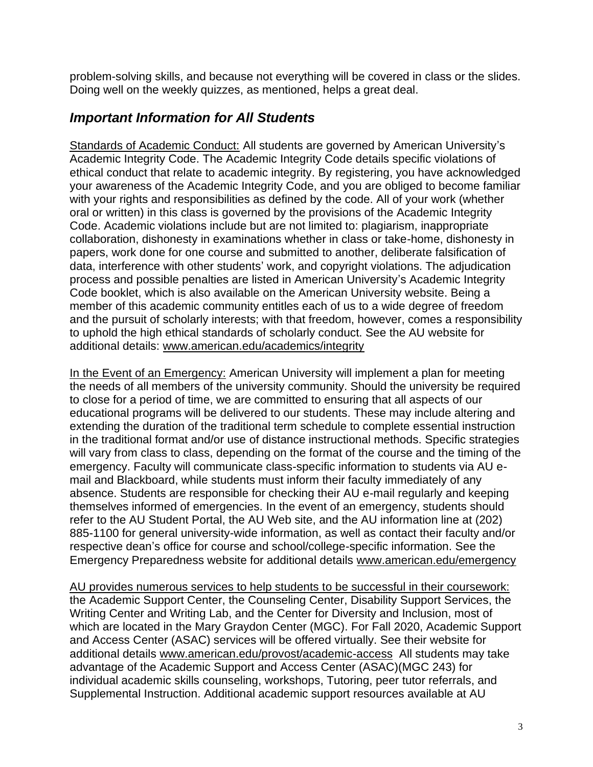problem-solving skills, and because not everything will be covered in class or the slides. Doing well on the weekly quizzes, as mentioned, helps a great deal.

## *Important Information for All Students*

Standards of Academic Conduct: All students are governed by American University's Academic Integrity Code. The Academic Integrity Code details specific violations of ethical conduct that relate to academic integrity. By registering, you have acknowledged your awareness of the Academic Integrity Code, and you are obliged to become familiar with your rights and responsibilities as defined by the code. All of your work (whether oral or written) in this class is governed by the provisions of the Academic Integrity Code. Academic violations include but are not limited to: plagiarism, inappropriate collaboration, dishonesty in examinations whether in class or take-home, dishonesty in papers, work done for one course and submitted to another, deliberate falsification of data, interference with other students' work, and copyright violations. The adjudication process and possible penalties are listed in American University's Academic Integrity Code booklet, which is also available on the American University website. Being a member of this academic community entitles each of us to a wide degree of freedom and the pursuit of scholarly interests; with that freedom, however, comes a responsibility to uphold the high ethical standards of scholarly conduct. See the AU website for additional details: [www.american.edu/academics/integrity](http://www.american.edu/academics/integrity)

In the Event of an Emergency: American University will implement a plan for meeting the needs of all members of the university community. Should the university be required to close for a period of time, we are committed to ensuring that all aspects of our educational programs will be delivered to our students. These may include altering and extending the duration of the traditional term schedule to complete essential instruction in the traditional format and/or use of distance instructional methods. Specific strategies will vary from class to class, depending on the format of the course and the timing of the emergency. Faculty will communicate class-specific information to students via AU email and Blackboard, while students must inform their faculty immediately of any absence. Students are responsible for checking their AU e-mail regularly and keeping themselves informed of emergencies. In the event of an emergency, students should refer to the AU Student Portal, the AU Web site, and the AU information line at (202) 885-1100 for general university-wide information, as well as contact their faculty and/or respective dean's office for course and school/college-specific information. See the Emergency Preparedness website for additional details [www.american.edu/emergency](http://www.american.edu/emergency)

AU provides numerous services to help students to be successful in their coursework: the Academic Support Center, the Counseling Center, Disability Support Services, the Writing Center and Writing Lab, and the Center for Diversity and Inclusion, most of which are located in the Mary Graydon Center (MGC). For Fall 2020, Academic Support and Access Center (ASAC) services will be offered virtually. See their website for additional details [www.american.edu/provost/academic-access](http://www.american.edu/provost/academic-access) All students may take advantage of the Academic Support and Access Center (ASAC)(MGC 243) for individual academic skills counseling, workshops, Tutoring, peer tutor referrals, and Supplemental Instruction. Additional academic support resources available at AU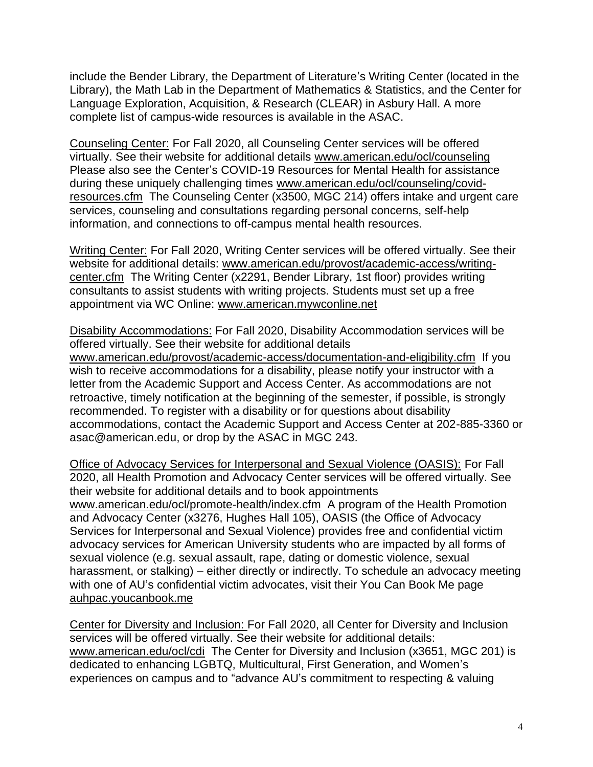include the Bender Library, the Department of Literature's Writing Center (located in the Library), the Math Lab in the Department of Mathematics & Statistics, and the Center for Language Exploration, Acquisition, & Research (CLEAR) in Asbury Hall. A more complete list of campus-wide resources is available in the ASAC.

Counseling Center: For Fall 2020, all Counseling Center services will be offered virtually. See their website for additional details [www.american.edu/ocl/counseling](http://www.american.edu/ocl/counseling)  Please also see the Center's COVID-19 Resources for Mental Health for assistance during these uniquely challenging times [www.american.edu/ocl/counseling/covid](http://www.american.edu/ocl/counseling/covid-resources.cfm)[resources.cfm](http://www.american.edu/ocl/counseling/covid-resources.cfm) The Counseling Center (x3500, MGC 214) offers intake and urgent care services, counseling and consultations regarding personal concerns, self-help information, and connections to off-campus mental health resources.

Writing Center: For Fall 2020, Writing Center services will be offered virtually. See their website for additional details: [www.american.edu/provost/academic-access/writing](http://www.american.edu/provost/academic-access/writing-center.cfm)[center.cfm](http://www.american.edu/provost/academic-access/writing-center.cfm) The Writing Center (x2291, Bender Library, 1st floor) provides writing consultants to assist students with writing projects. Students must set up a free appointment via WC Online: [www.american.mywconline.net](http://www.american.mywconline.net/)

Disability Accommodations: For Fall 2020, Disability Accommodation services will be offered virtually. See their website for additional details [www.american.edu/provost/academic-access/documentation-and-eligibility.cfm](http://www.american.edu/provost/academic-access/documentation-and-eligibility.cfm) If you wish to receive accommodations for a disability, please notify your instructor with a letter from the Academic Support and Access Center. As accommodations are not retroactive, timely notification at the beginning of the semester, if possible, is strongly recommended. To register with a disability or for questions about disability accommodations, contact the Academic Support and Access Center at 202-885-3360 or asac@american.edu, or drop by the ASAC in MGC 243.

Office of Advocacy Services for Interpersonal and Sexual Violence (OASIS): For Fall 2020, all Health Promotion and Advocacy Center services will be offered virtually. See their website for additional details and to book appointments [www.american.edu/ocl/promote-health/index.cfm](http://www.american.edu/ocl/promote-health/index.cfm) A program of the Health Promotion and Advocacy Center (x3276, Hughes Hall 105), OASIS (the Office of Advocacy Services for Interpersonal and Sexual Violence) provides free and confidential victim advocacy services for American University students who are impacted by all forms of sexual violence (e.g. sexual assault, rape, dating or domestic violence, sexual harassment, or stalking) – either directly or indirectly. To schedule an advocacy meeting with one of AU's confidential victim advocates, visit their You Can Book Me page auhpac.youcanbook.me

Center for Diversity and Inclusion: For Fall 2020, all Center for Diversity and Inclusion services will be offered virtually. See their website for additional details: [www.american.edu/ocl/cdi](http://www.american.edu/ocl/cdi) The Center for Diversity and Inclusion (x3651, MGC 201) is dedicated to enhancing LGBTQ, Multicultural, First Generation, and Women's experiences on campus and to "advance AU's commitment to respecting & valuing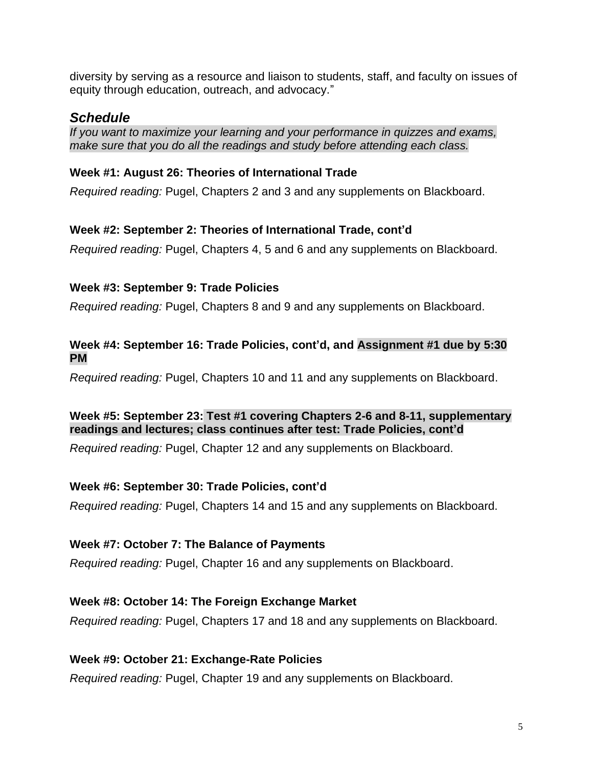diversity by serving as a resource and liaison to students, staff, and faculty on issues of equity through education, outreach, and advocacy."

## *Schedule*

*If you want to maximize your learning and your performance in quizzes and exams, make sure that you do all the readings and study before attending each class.*

#### **Week #1: August 26: Theories of International Trade**

*Required reading:* Pugel, Chapters 2 and 3 and any supplements on Blackboard.

#### **Week #2: September 2: Theories of International Trade, cont'd**

*Required reading:* Pugel, Chapters 4, 5 and 6 and any supplements on Blackboard.

#### **Week #3: September 9: Trade Policies**

*Required reading:* Pugel, Chapters 8 and 9 and any supplements on Blackboard.

#### **Week #4: September 16: Trade Policies, cont'd, and Assignment #1 due by 5:30 PM**

*Required reading:* Pugel, Chapters 10 and 11 and any supplements on Blackboard.

#### **Week #5: September 23: Test #1 covering Chapters 2-6 and 8-11, supplementary readings and lectures; class continues after test: Trade Policies, cont'd**

*Required reading:* Pugel, Chapter 12 and any supplements on Blackboard.

#### **Week #6: September 30: Trade Policies, cont'd**

*Required reading:* Pugel, Chapters 14 and 15 and any supplements on Blackboard.

#### **Week #7: October 7: The Balance of Payments**

*Required reading:* Pugel, Chapter 16 and any supplements on Blackboard.

### **Week #8: October 14: The Foreign Exchange Market**

*Required reading:* Pugel, Chapters 17 and 18 and any supplements on Blackboard.

#### **Week #9: October 21: Exchange-Rate Policies**

*Required reading:* Pugel, Chapter 19 and any supplements on Blackboard.